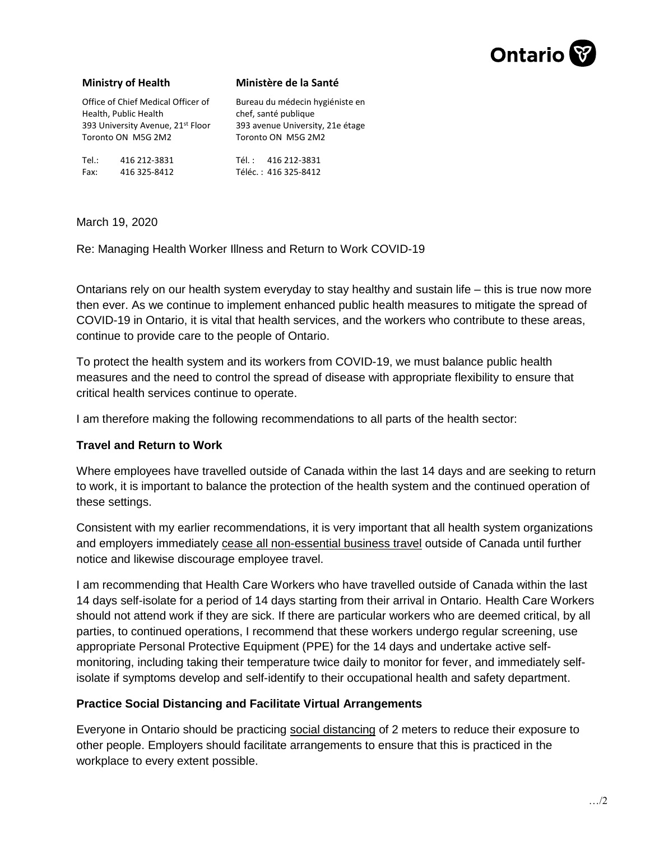

### **Ministry of Health**

### **Ministère de la Santé**

Office of Chief Medical Officer of Health, Public Health 393 University Avenue, 21st Floor Toronto ON M5G 2M2

Bureau du médecin hygiéniste en chef, santé publique 393 avenue University, 21e étage Toronto ON M5G 2M2

Tel.: 416 212-3831 Fax: 416 325-8412

Tél. : 416 212-3831 Téléc. : 416 325-8412

March 19, 2020

Re: Managing Health Worker Illness and Return to Work COVID-19

Ontarians rely on our health system everyday to stay healthy and sustain life – this is true now more then ever. As we continue to implement enhanced public health measures to mitigate the spread of COVID-19 in Ontario, it is vital that health services, and the workers who contribute to these areas, continue to provide care to the people of Ontario.

To protect the health system and its workers from COVID-19, we must balance public health measures and the need to control the spread of disease with appropriate flexibility to ensure that critical health services continue to operate.

I am therefore making the following recommendations to all parts of the health sector:

## **Travel and Return to Work**

Where employees have travelled outside of Canada within the last 14 days and are seeking to return to work, it is important to balance the protection of the health system and the continued operation of these settings.

Consistent with my earlier recommendations, it is very important that all health system organizations and employers immediately cease all non-essential business travel outside of Canada until further notice and likewise discourage employee travel.

I am recommending that Health Care Workers who have travelled outside of Canada within the last 14 days self-isolate for a period of 14 days starting from their arrival in Ontario. Health Care Workers should not attend work if they are sick. If there are particular workers who are deemed critical, by all parties, to continued operations, I recommend that these workers undergo regular screening, use appropriate Personal Protective Equipment (PPE) for the 14 days and undertake active selfmonitoring, including taking their temperature twice daily to monitor for fever, and immediately selfisolate if symptoms develop and self-identify to their occupational health and safety department.

## **Practice Social Distancing and Facilitate Virtual Arrangements**

Everyone in Ontario should be practicing social distancing of 2 meters to reduce their exposure to other people. Employers should facilitate arrangements to ensure that this is practiced in the workplace to every extent possible.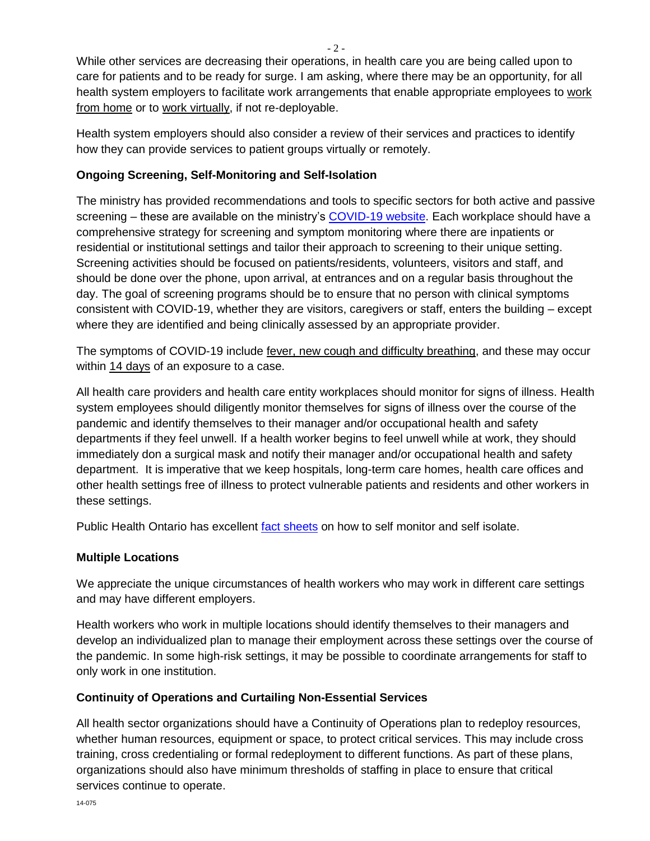While other services are decreasing their operations, in health care you are being called upon to care for patients and to be ready for surge. I am asking, where there may be an opportunity, for all health system employers to facilitate work arrangements that enable appropriate employees to work from home or to work virtually, if not re-deployable.

Health system employers should also consider a review of their services and practices to identify how they can provide services to patient groups virtually or remotely.

# **Ongoing Screening, Self-Monitoring and Self-Isolation**

The ministry has provided recommendations and tools to specific sectors for both active and passive screening – these are available on the ministry's [COVID-19](http://www.health.gov.on.ca/en/pro/programs/publichealth/coronavirus/2019_guidance.aspx) website. Each workplace should have a comprehensive strategy for screening and symptom monitoring where there are inpatients or residential or institutional settings and tailor their approach to screening to their unique setting. Screening activities should be focused on patients/residents, volunteers, visitors and staff, and should be done over the phone, upon arrival, at entrances and on a regular basis throughout the day. The goal of screening programs should be to ensure that no person with clinical symptoms consistent with COVID-19, whether they are visitors, caregivers or staff, enters the building – except where they are identified and being clinically assessed by an appropriate provider.

The symptoms of COVID-19 include fever, new cough and difficulty breathing, and these may occur within 14 days of an exposure to a case.

All health care providers and health care entity workplaces should monitor for signs of illness. Health system employees should diligently monitor themselves for signs of illness over the course of the pandemic and identify themselves to their manager and/or occupational health and safety departments if they feel unwell. If a health worker begins to feel unwell while at work, they should immediately don a surgical mask and notify their manager and/or occupational health and safety department. It is imperative that we keep hospitals, long-term care homes, health care offices and other health settings free of illness to protect vulnerable patients and residents and other workers in these settings.

Public Health Ontario has excellent [fact sheets](https://www.publichealthontario.ca/en/diseases-and-conditions/infectious-diseases/respiratory-diseases/novel-coronavirus/public-resources) on how to self monitor and self isolate.

# **Multiple Locations**

We appreciate the unique circumstances of health workers who may work in different care settings and may have different employers.

Health workers who work in multiple locations should identify themselves to their managers and develop an individualized plan to manage their employment across these settings over the course of the pandemic. In some high-risk settings, it may be possible to coordinate arrangements for staff to only work in one institution.

# **Continuity of Operations and Curtailing Non-Essential Services**

All health sector organizations should have a Continuity of Operations plan to redeploy resources, whether human resources, equipment or space, to protect critical services. This may include cross training, cross credentialing or formal redeployment to different functions. As part of these plans, organizations should also have minimum thresholds of staffing in place to ensure that critical services continue to operate.

 $-2 -$